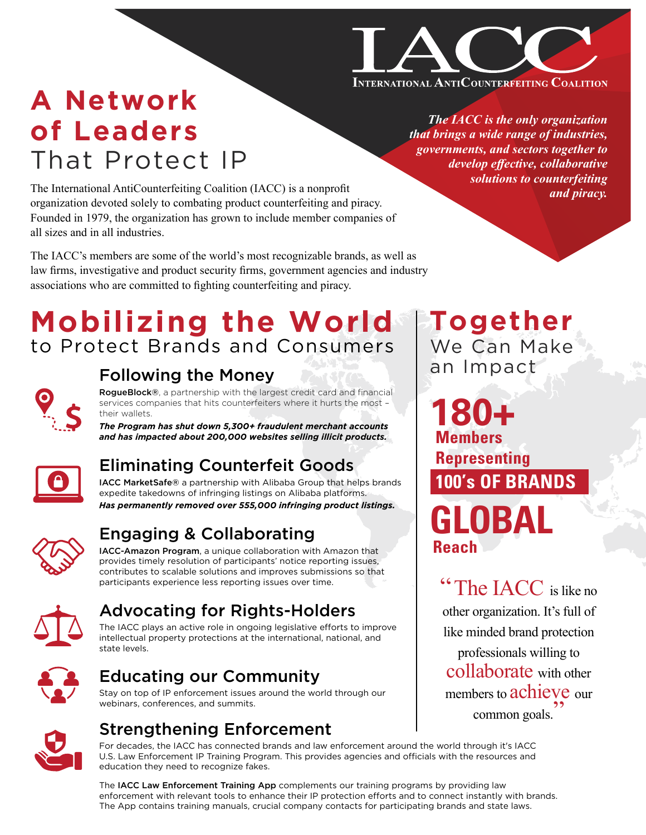

## **A Network of Leaders**  That Protect IP

The International AntiCounterfeiting Coalition (IACC) is a nonprofit organization devoted solely to combating product counterfeiting and piracy. Founded in 1979, the organization has grown to include member companies of all sizes and in all industries.

The IACC's members are some of the world's most recognizable brands, as well as law firms, investigative and product security firms, government agencies and industry associations who are committed to fighting counterfeiting and piracy.

## **Mobilizing the World** to Protect Brands and Consumers



### [Following the Money](https://www.iacc.org/online-initiatives/rogueblock)

RogueBlock®, a partnership with the largest credit card and financial services companies that hits counterfeiters where it hurts the most – their wallets.

*The Program has shut down 5,300+ fraudulent merchant accounts and has impacted about 200,000 websites selling illicit products.*



## [Eliminating Counterfeit Goods](https://www.iacc.org/online-initiatives/marketsafe)

IACC MarketSafe® a partnership with Alibaba Group that helps brands expedite takedowns of infringing listings on Alibaba platforms. *Has permanently removed over 555,000 infringing product listings.*



## [Engaging & Collaborating](https://www.iacc.org/amazon-program/main)

IACC-Amazon Program, a unique collaboration with Amazon that provides timely resolution of participants' notice reporting issues, contributes to scalable solutions and improves submissions so that participants experience less reporting issues over time.



### [Advocating for Rights-Holders](https://www.iacc.org/advocacy/key-issues)

The IACC plays an active role in ongoing legislative efforts to improve intellectual property protections at the international, national, and state levels.



### [Educating our Community](http://www.iacc.org)

Stay on top of IP enforcement issues around the world through our webinars, conferences, and summits.



### Strengthening Enforcement

For decades, the IACC has connected brands and law enforcement around the world through it's IACC [U.S. Law Enforcement IP Training Program. This provides agencies and officials with the resources and](https://www.iacc.org/training/us)  education they need to recognize fakes.

The IACC Law Enforcement Training App complements our training programs by providing law enforcement with relevant tools to enhance their IP protection efforts and to connect instantly with brands. [The App contains training manuals, crucial company contacts for participating brands and state laws.](https://www.iacc.org/law-enforcement-training-app)

*The IACC is the only organization that brings a wide range of industries, governments, and sectors together to develop effective, collaborative solutions to counterfeiting and piracy.*

**Together** We Can Make an Impact

**GLOBAL 180+ Members Representing 100's OF BRANDS Reach**

The IACC is like no other organization. It's full of like minded brand protection professionals willing to collaborate with other members to achieve our common goals. "